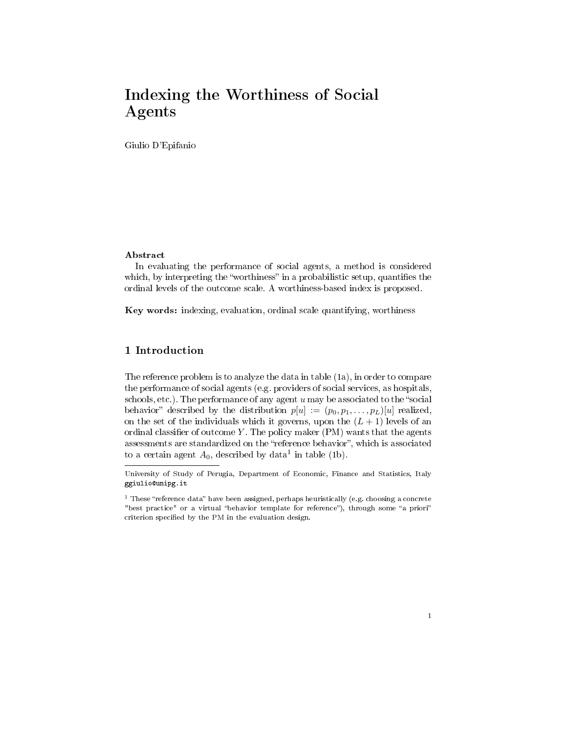# Indexing the Worthiness of Social Agents

Giulio D'Epifanio

### Abstract

In evaluating the performance of social agents, a method is considered which, by interpreting the "worthiness" in a probabilistic setup, quantifies the ordinal levels of the outcome scale. A worthiness-based index is proposed.

Key words: indexing, evaluation, ordinal scale quantifying, worthiness

# 1 Introduction

The reference problem is to analyze the data in table (1a), in order to compare the performance of social agents (e.g. providers of social services, as hospitals, schools, etc.). The performance of any agent  $u$  may be associated to the "social behavior" described by the distribution  $p[u] := (p_0, p_1, \ldots, p_L)[u]$  realized, on the set of the individuals which it governs, upon the  $(L + 1)$  levels of an ordinal classifier of outcome  $Y$ . The policy maker (PM) wants that the agents assessments are standardized on the "reference behavior", which is associated to a certain agent  $A_0$ , described by data<sup>1</sup> in table (1b).

University of Study of Perugia, Department of Economic, Finance and Statistics, Italy ggiulio@unipg.it

 $1$  These "reference data" have been assigned, perhaps heuristically (e.g. choosing a concrete "best practice" or a virtual "behavior template for reference"), through some "a priori" criterion specified by the PM in the evaluation design.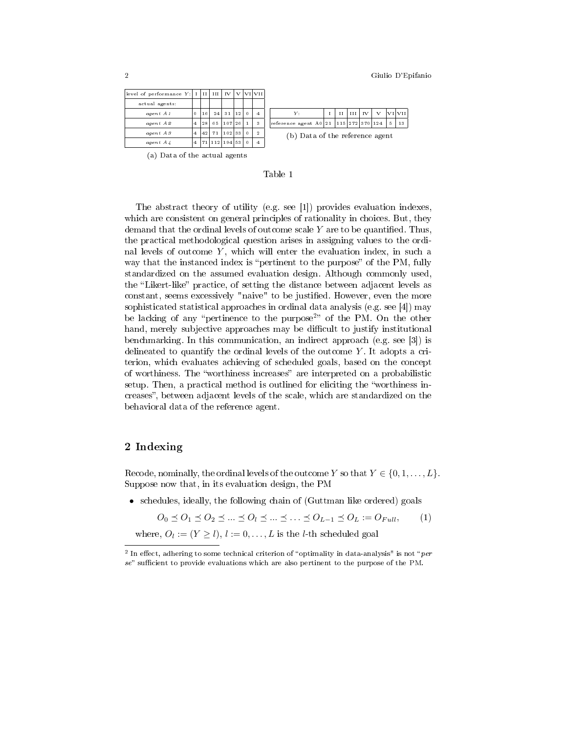| level of performance $Y$ :  I   II   III   IV |         |    |                     |          | v I |              | VI   VII       |                                 |  |   |              |     |                         |               |        |  |
|-----------------------------------------------|---------|----|---------------------|----------|-----|--------------|----------------|---------------------------------|--|---|--------------|-----|-------------------------|---------------|--------|--|
| actual agents:                                |         |    |                     |          |     |              |                |                                 |  |   |              |     |                         |               |        |  |
| agent A1                                      | $\circ$ | 16 | 24                  | -31      | 112 | $\Omega$     | $\overline{4}$ | Y:                              |  | Н | $_{\rm III}$ | IV. | v                       |               | VI VII |  |
| agent A2                                      | 4       | 28 | 65                  | 107   26 |     | $\mathbf{1}$ | 3              | reference agent A0 21           |  |   |              |     | $115$   272   370   124 | $\frac{5}{2}$ | 13     |  |
| agent A3                                      | 4       | 42 | 71                  | $102$ 33 |     | $\Omega$     | $\overline{2}$ | (b) Data of the reference agent |  |   |              |     |                         |               |        |  |
| $agent\ A4$                                   | 4       |    | 71   112   194   53 |          |     | $\Omega$     | $\overline{4}$ |                                 |  |   |              |     |                         |               |        |  |
|                                               |         |    |                     |          |     |              |                |                                 |  |   |              |     |                         |               |        |  |

(a) Data of the actual agents



The abstract theory of utility (e.g. see [1]) provides evaluation indexes, which are consistent on general principles of rationality in choices. But, they demand that the ordinal levels of outcome scale  $Y$  are to be quantified. Thus, the practical methodological question arises in assigning values to the ordinal levels of outcome  $Y$ , which will enter the evaluation index, in such a way that the instanced index is "pertinent to the purpose" of the PM, fully standardized on the assumed evaluation design. Although commonly used, the "Likert-like" practice, of setting the distance between adjacent levels as constant, seems excessively "naive" to be justified. However, even the more sophisticated statistical approaches in ordinal data analysis (e.g. see [4]) may be lacking of any "pertinence to the purpose<sup>2</sup>" of the PM. On the other hand, merely subjective approaches may be difficult to justify institutional benchmarking. In this communication, an indirect approach (e.g. see [3]) is delineated to quantify the ordinal levels of the outcome  $Y$ . It adopts a criterion, which evaluates achieving of scheduled goals, based on the concept of worthiness. The "worthiness increases" are interpreted on a probabilistic setup. Then, a practical method is outlined for eliciting the "worthiness increases", between adjacent levels of the scale, which are standardized on the behavioral data of the reference agent.

#### 2 Indexing

Recode, nominally, the ordinal levels of the outcome Y so that  $Y \in \{0, 1, \ldots, L\}$ . Suppose now that, in its evaluation design, the PM

• schedules, ideally, the following chain of (Guttman like ordered) goals

 $O_0 \leq O_1 \leq O_2 \leq ... \leq O_l \leq ... \leq ... \leq O_{L-1} \leq O_L := O_{Full},$  (1)

where,  $O_l := (Y \ge l), l := 0, \ldots, L$  is the *l*-th scheduled goal

<sup>&</sup>lt;sup>2</sup> In effect, adhering to some technical criterion of "optimality in data-analysis" is not "per  $se$ " sufficient to provide evaluations which are also pertinent to the purpose of the PM.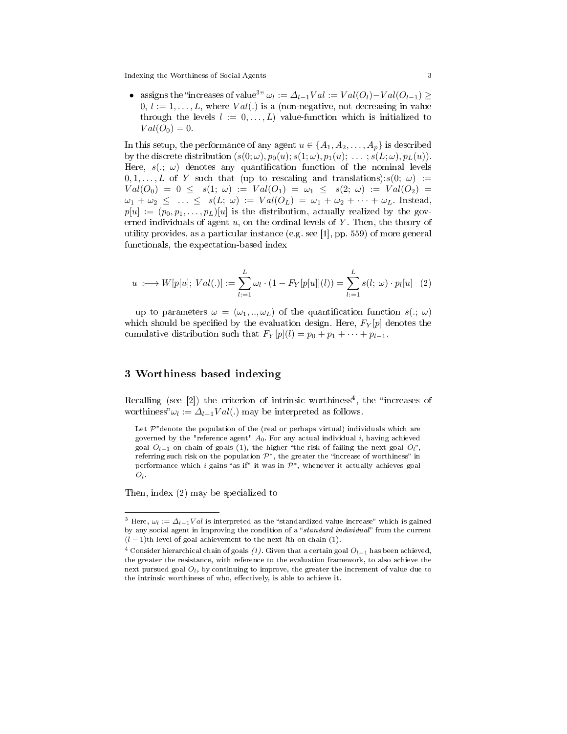Indexing the Worthiness of Social Agents 3

• assigns the "increases of value<sup>3"</sup>  $\omega_l := \Delta_{l-1} Val := Val(O_l) - Val(O_{l-1}) \geq$  $0, l := 1, \ldots, L$ , where  $Val(.)$  is a (non-negative, not decreasing in value through the levels  $l := 0, \ldots, L$  value-function which is initialized to  $Val(O_0) = 0.$ 

In this setup, the performance of any agent  $u \in \{A_1, A_2, \ldots, A_p\}$  is described by the discrete distribution  $(s(0; \omega), p_0(u); s(1; \omega), p_1(u); \ldots; s(L; \omega), p_L(u)).$ Here,  $s(., \omega)$  denotes any quantification function of the nominal levels  $0, 1, \ldots, L$  of Y such that (up to rescaling and translations): $s(0; \omega) :=$  $Val(O_0) = 0 \leq s(1; \omega) := Val(O_1) = \omega_1 \leq s(2; \omega) := Val(O_2) =$  $\omega_1 + \omega_2 \leq \ldots \leq s(L; \omega) := Val(O_L) = \omega_1 + \omega_2 + \cdots + \omega_L$ . Instead,  $p[u] := (p_0, p_1, \ldots, p_L)[u]$  is the distribution, actually realized by the governed individuals of agent  $u$ , on the ordinal levels of Y. Then, the theory of utility provides, as a particular instance (e.g. see [1], pp. 559) of more general functionals, the expectation-based index

$$
u \; : \longmapsto W[p[u];\; Val(.)] := \sum_{l=1}^{L} \omega_l \cdot (1 - F_Y[p[u]](l)) = \sum_{l=1}^{L} s(l; \; \omega) \cdot p_l[u] \quad (2)
$$

up to parameters  $\omega = (\omega_1, \ldots, \omega_L)$  of the quantification function  $s(.) \omega$ which should be specified by the evaluation design. Here,  $F_Y[p]$  denotes the cumulative distribution such that  $F_Y[p](l) = p_0 + p_1 + \cdots + p_{l-1}$ .

# 3 Worthiness based indexing

Recalling (see  $[2]$ ) the criterion of intrinsic worthiness<sup>4</sup>, the "increases of worthiness" $\omega_l := \Delta_{l-1} Val(.)$  may be interpreted as follows.

Let  $\mathcal{P}^*$ denote the population of the (real or perhaps virtual) individuals which are governed by the "reference agent"  $A_0$ . For any actual individual i, having achieved goal  $O_{l-1}$  on chain of goals (1), the higher "the risk of failing the next goal  $O_l$ ", referring such risk on the population  $\mathcal{P}^*$ , the greater the "increase of worthiness" in performance which i gains "as if" it was in  $\mathcal{P}^*$ , whenever it actually achieves goal  $O_l$  .

Then, index (2) may be specialized to

<sup>&</sup>lt;sup>3</sup> Here,  $\omega_l := \Delta_{l-1} Val$  is interpreted as the "standardized value increase" which is gained by any social agent in improving the condition of a "standard individual" from the current  $(l-1)$ th level of goal achievement to the next *l*th on chain (1).

<sup>&</sup>lt;sup>4</sup> Consider hierarchical chain of goals (1). Given that a certain goal  $O_{l-1}$  has been achieved, the greater the resistance, with reference to the evaluation framework, to also achieve the next pursued goal  $O_l,$  by continuing to improve, the greater the increment of value due to the intrinsic worthiness of who, effectively, is able to achieve it.